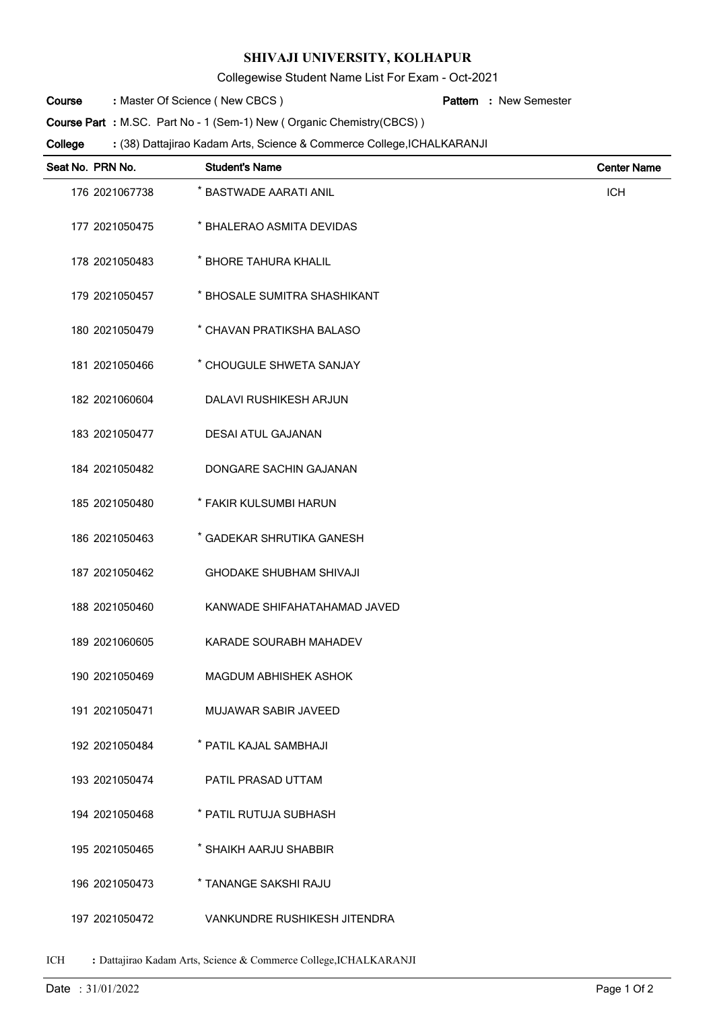## **SHIVAJI UNIVERSITY, KOLHAPUR**

Collegewise Student Name List For Exam - Oct-2021

Master Of Science ( New CBCS ) **: Pattern Course**

New Semester **:**

**Course Part**: M.SC. Part No - 1 (Sem-1) New ( Organic Chemistry(CBCS) )

(38) Dattajirao Kadam Arts, Science & Commerce College,ICHALKARANJI **: College**

| Seat No. PRN No. | <b>Student's Name</b>          | <b>Center Name</b> |
|------------------|--------------------------------|--------------------|
| 176 2021067738   | * BASTWADE AARATI ANIL         | <b>ICH</b>         |
| 177 2021050475   | * BHALERAO ASMITA DEVIDAS      |                    |
| 178 2021050483   | * BHORE TAHURA KHALIL          |                    |
| 179 2021050457   | * BHOSALE SUMITRA SHASHIKANT   |                    |
| 180 2021050479   | * CHAVAN PRATIKSHA BALASO      |                    |
| 181 2021050466   | * CHOUGULE SHWETA SANJAY       |                    |
| 182 2021060604   | <b>DALAVI RUSHIKESH ARJUN</b>  |                    |
| 183 2021050477   | <b>DESAI ATUL GAJANAN</b>      |                    |
| 184 2021050482   | DONGARE SACHIN GAJANAN         |                    |
| 185 2021050480   | * FAKIR KULSUMBI HARUN         |                    |
| 186 2021050463   | * GADEKAR SHRUTIKA GANESH      |                    |
| 187 2021050462   | <b>GHODAKE SHUBHAM SHIVAJI</b> |                    |
| 188 2021050460   | KANWADE SHIFAHATAHAMAD JAVED   |                    |
| 189 2021060605   | KARADE SOURABH MAHADEV         |                    |
| 190 2021050469   | MAGDUM ABHISHEK ASHOK          |                    |
| 191 2021050471   | <b>MUJAWAR SABIR JAVEED</b>    |                    |
| 192 2021050484   | * PATIL KAJAL SAMBHAJI         |                    |
| 193 2021050474   | PATIL PRASAD UTTAM             |                    |
| 194 2021050468   | * PATIL RUTUJA SUBHASH         |                    |
| 195 2021050465   | * SHAIKH AARJU SHABBIR         |                    |
| 196 2021050473   | * TANANGE SAKSHI RAJU          |                    |
| 197 2021050472   | VANKUNDRE RUSHIKESH JITENDRA   |                    |

ICH **:** Dattajirao Kadam Arts, Science & Commerce College,ICHALKARANJI